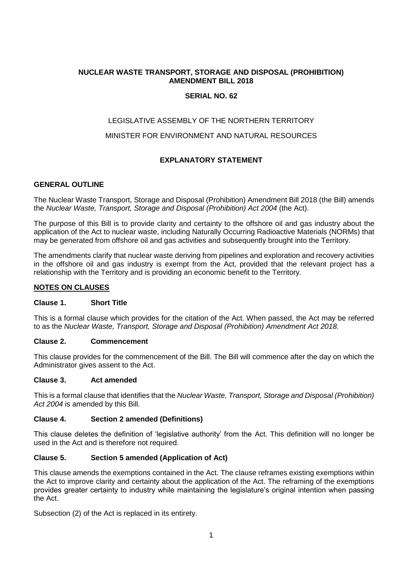# **NUCLEAR WASTE TRANSPORT, STORAGE AND DISPOSAL (PROHIBITION) AMENDMENT BILL 2018**

# **SERIAL NO. 62**

# LEGISLATIVE ASSEMBLY OF THE NORTHERN TERRITORY

# MINISTER FOR ENVIRONMENT AND NATURAL RESOURCES

# **EXPLANATORY STATEMENT**

### **GENERAL OUTLINE**

The Nuclear Waste Transport, Storage and Disposal (Prohibition) Amendment Bill 2018 (the Bill) amends the *Nuclear Waste, Transport, Storage and Disposal (Prohibition) Act 2004* (the Act).

The purpose of this Bill is to provide clarity and certainty to the offshore oil and gas industry about the application of the Act to nuclear waste, including Naturally Occurring Radioactive Materials (NORMs) that may be generated from offshore oil and gas activities and subsequently brought into the Territory.

The amendments clarify that nuclear waste deriving from pipelines and exploration and recovery activities in the offshore oil and gas industry is exempt from the Act, provided that the relevant project has a relationship with the Territory and is providing an economic benefit to the Territory.

### **NOTES ON CLAUSES**

#### **Clause 1. Short Title**

This is a formal clause which provides for the citation of the Act. When passed, the Act may be referred to as the *Nuclear Waste, Transport, Storage and Disposal (Prohibition) Amendment Act 2018.*

#### **Clause 2. Commencement**

This clause provides for the commencement of the Bill. The Bill will commence after the day on which the Administrator gives assent to the Act.

### **Clause 3. Act amended**

This is a formal clause that identifies that the *Nuclear Waste, Transport, Storage and Disposal (Prohibition) Act 2004* is amended by this Bill*.*

#### **Clause 4. Section 2 amended (Definitions)**

This clause deletes the definition of 'legislative authority' from the Act. This definition will no longer be used in the Act and is therefore not required.

### **Clause 5. Section 5 amended (Application of Act)**

This clause amends the exemptions contained in the Act. The clause reframes existing exemptions within the Act to improve clarity and certainty about the application of the Act. The reframing of the exemptions provides greater certainty to industry while maintaining the legislature's original intention when passing the Act.

Subsection (2) of the Act is replaced in its entirety.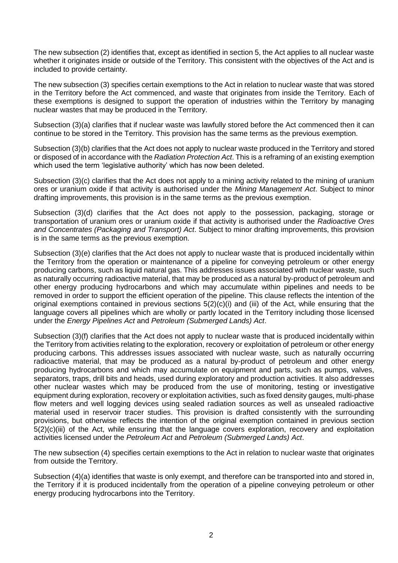The new subsection (2) identifies that, except as identified in section 5, the Act applies to all nuclear waste whether it originates inside or outside of the Territory. This consistent with the objectives of the Act and is included to provide certainty.

The new subsection (3) specifies certain exemptions to the Act in relation to nuclear waste that was stored in the Territory before the Act commenced, and waste that originates from inside the Territory. Each of these exemptions is designed to support the operation of industries within the Territory by managing nuclear wastes that may be produced in the Territory.

Subsection (3)(a) clarifies that if nuclear waste was lawfully stored before the Act commenced then it can continue to be stored in the Territory. This provision has the same terms as the previous exemption.

Subsection (3)(b) clarifies that the Act does not apply to nuclear waste produced in the Territory and stored or disposed of in accordance with the *Radiation Protection Act*. This is a reframing of an existing exemption which used the term 'legislative authority' which has now been deleted.

Subsection (3)(c) clarifies that the Act does not apply to a mining activity related to the mining of uranium ores or uranium oxide if that activity is authorised under the *Mining Management Act*. Subject to minor drafting improvements, this provision is in the same terms as the previous exemption.

Subsection (3)(d) clarifies that the Act does not apply to the possession, packaging, storage or transportation of uranium ores or uranium oxide if that activity is authorised under the *Radioactive Ores and Concentrates (Packaging and Transport) Act*. Subject to minor drafting improvements, this provision is in the same terms as the previous exemption.

Subsection (3)(e) clarifies that the Act does not apply to nuclear waste that is produced incidentally within the Territory from the operation or maintenance of a pipeline for conveying petroleum or other energy producing carbons, such as liquid natural gas. This addresses issues associated with nuclear waste, such as naturally occurring radioactive material, that may be produced as a natural by-product of petroleum and other energy producing hydrocarbons and which may accumulate within pipelines and needs to be removed in order to support the efficient operation of the pipeline. This clause reflects the intention of the original exemptions contained in previous sections 5(2)(c)(i) and (iii) of the Act, while ensuring that the language covers all pipelines which are wholly or partly located in the Territory including those licensed under the *Energy Pipelines Act* and *Petroleum (Submerged Lands) Act*.

Subsection (3)(f) clarifies that the Act does not apply to nuclear waste that is produced incidentally within the Territory from activities relating to the exploration, recovery or exploitation of petroleum or other energy producing carbons. This addresses issues associated with nuclear waste, such as naturally occurring radioactive material, that may be produced as a natural by-product of petroleum and other energy producing hydrocarbons and which may accumulate on equipment and parts, such as pumps, valves, separators, traps, drill bits and heads, used during exploratory and production activities. It also addresses other nuclear wastes which may be produced from the use of monitoring, testing or investigative equipment during exploration, recovery or exploitation activities, such as fixed density gauges, multi-phase flow meters and well logging devices using sealed radiation sources as well as unsealed radioactive material used in reservoir tracer studies. This provision is drafted consistently with the surrounding provisions, but otherwise reflects the intention of the original exemption contained in previous section 5(2)(c)(iii) of the Act, while ensuring that the language covers exploration, recovery and exploitation activities licensed under the *Petroleum Act* and *Petroleum (Submerged Lands) Act*.

The new subsection (4) specifies certain exemptions to the Act in relation to nuclear waste that originates from outside the Territory.

Subsection (4)(a) identifies that waste is only exempt, and therefore can be transported into and stored in, the Territory if it is produced incidentally from the operation of a pipeline conveying petroleum or other energy producing hydrocarbons into the Territory.